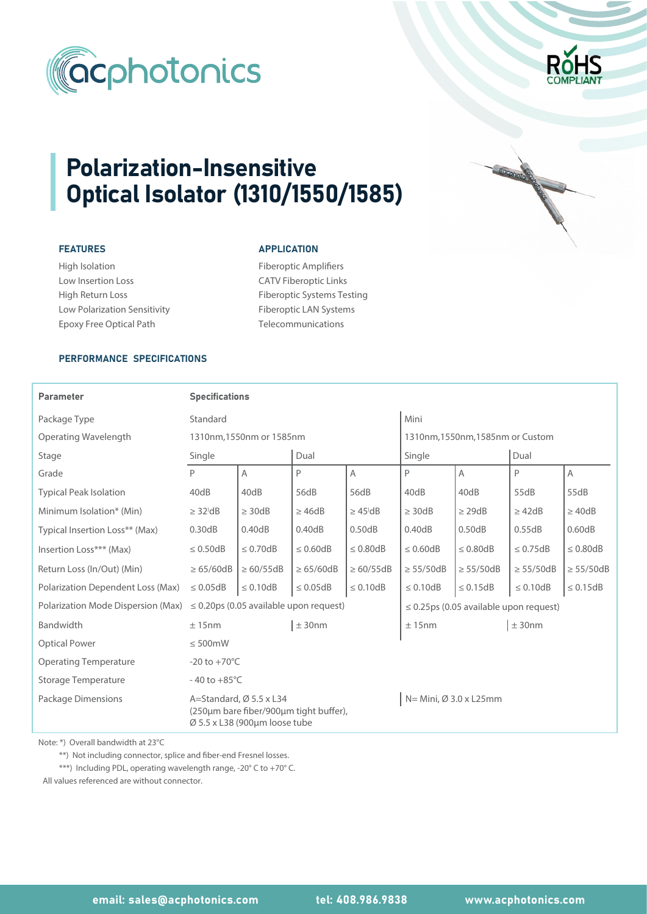



# Polarization-Insensitive Optical Isolator (1310/1550/1585)

## FEATURES

High Isolation Low Insertion Loss High Return Loss Low Polarization Sensitivity Epoxy Free Optical Path

#### **APPLICATION**

Fiberoptic Amplifiers CATV Fiberoptic Links Fiberoptic Systems Testing Fiberoptic LAN Systems Telecommunications

## PERFORMANCE SPECIFICATIONS

| <b>Parameter</b>                   | <b>Specifications</b>                                                                                                                                |                |                |                       |                                             |                |                |                |  |  |
|------------------------------------|------------------------------------------------------------------------------------------------------------------------------------------------------|----------------|----------------|-----------------------|---------------------------------------------|----------------|----------------|----------------|--|--|
| Package Type                       | Standard                                                                                                                                             |                |                |                       | Mini                                        |                |                |                |  |  |
| Operating Wavelength               | 1310nm, 1550nm or 1585nm                                                                                                                             |                |                |                       | 1310nm, 1550nm, 1585nm or Custom            |                |                |                |  |  |
| Stage                              | Single                                                                                                                                               |                | Dual           |                       | Single                                      |                | Dual           |                |  |  |
| Grade                              | P                                                                                                                                                    | $\overline{A}$ | P              | A                     | P                                           | A              | P              | A              |  |  |
| <b>Typical Peak Isolation</b>      | 40dB                                                                                                                                                 | 40dB           | 56dB           | 56dB                  | 40dB                                        | 40dB           | 55dB           | 55dB           |  |  |
| Minimum Isolation* (Min)           | $\geq$ 32 <sup><math>\text{dB}</math></sup>                                                                                                          | $\geq$ 30dB    | $\geq$ 46dB    | $\geq$ 45 $\text{dB}$ | $\geq$ 30dB                                 | $\geq$ 29dB    | $\geq$ 42dB    | $\geq 40dB$    |  |  |
| Typical Insertion Loss** (Max)     | 0.30dB                                                                                                                                               | 0.40dB         | 0.40dB         | 0.50dB                | 0.40dB                                      | 0.50dB         | 0.55dB         | 0.60dB         |  |  |
| Insertion Loss*** (Max)            | $\leq 0.50$ dB                                                                                                                                       | $\leq 0.70$ dB | $\leq 0.60$ dB | $\leq 0.80$ dB        | $\leq 0.60$ dB                              | $\leq 0.80$ dB | $\leq$ 0.75dB  | $\leq 0.80$ dB |  |  |
| Return Loss (In/Out) (Min)         | $\geq 65/60dB$                                                                                                                                       | $\geq 60/55dB$ | $\geq 65/60dB$ | $\geq 60/55dB$        | $\geq$ 55/50dB                              | $\geq$ 55/50dB | $\geq$ 55/50dB | $\geq$ 55/50dB |  |  |
| Polarization Dependent Loss (Max)  | $\leq 0.05$ dB                                                                                                                                       | $\leq 0.10dB$  | $\leq 0.05$ dB | $\leq 0.10$ dB        | $\leq 0.10$ dB                              | $\leq 0.15dB$  | $\leq 0.10$ dB | $\leq 0.15$ dB |  |  |
| Polarization Mode Dispersion (Max) | $\leq$ 0.20ps (0.05 available upon request)                                                                                                          |                |                |                       | $\leq$ 0.25ps (0.05 available upon request) |                |                |                |  |  |
| Bandwidth                          | ± 15nm                                                                                                                                               |                | ± 30nm         |                       | ± 15nm                                      |                | ± 30nm         |                |  |  |
| <b>Optical Power</b>               | $\leq 500$ mW                                                                                                                                        |                |                |                       |                                             |                |                |                |  |  |
| <b>Operating Temperature</b>       | $-20$ to $+70^{\circ}$ C                                                                                                                             |                |                |                       |                                             |                |                |                |  |  |
| Storage Temperature                | $-40$ to $+85^{\circ}$ C                                                                                                                             |                |                |                       |                                             |                |                |                |  |  |
| Package Dimensions                 | N= Mini, Ø 3.0 x L25mm<br>A=Standard, $\varnothing$ 5.5 x L34<br>(250µm bare fiber/900µm tight buffer),<br>$\varnothing$ 5.5 x L38 (900um loose tube |                |                |                       |                                             |                |                |                |  |  |

Note: \*) Overall bandwidth at 23°C

\*\*) Not including connector, splice and fiber-end Fresnel losses.

\*\*\*) Including PDL, operating wavelength range, -20° C to +70° C.

All values referenced are without connector.